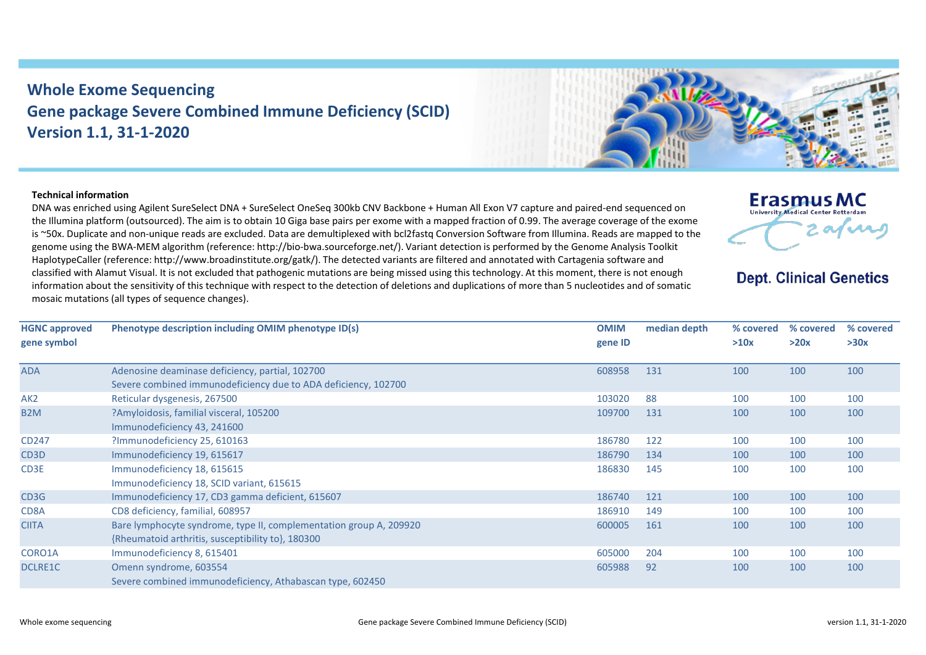## **Whole Exome Sequencing Gene package Severe Combined Immune Deficiency (SCID) Version 1.1, 31-1-2020**

## **Technical information**

DNA was enriched using Agilent SureSelect DNA + SureSelect OneSeq 300kb CNV Backbone + Human All Exon V7 capture and paired-end sequenced on the Illumina platform (outsourced). The aim is to obtain 10 Giga base pairs per exome with a mapped fraction of 0.99. The average coverage of the exome is ~50x. Duplicate and non-unique reads are excluded. Data are demultiplexed with bcl2fastq Conversion Software from Illumina. Reads are mapped to the genome using the BWA-MEM algorithm (reference: http://bio-bwa.sourceforge.net/). Variant detection is performed by the Genome Analysis Toolkit HaplotypeCaller (reference: http://www.broadinstitute.org/gatk/). The detected variants are filtered and annotated with Cartagenia software and classified with Alamut Visual. It is not excluded that pathogenic mutations are being missed using this technology. At this moment, there is not enough information about the sensitivity of this technique with respect to the detection of deletions and duplications of more than 5 nucleotides and of somatic mosaic mutations (all types of sequence changes).

| <b>HGNC approved</b><br>gene symbol | Phenotype description including OMIM phenotype ID(s)               | <b>OMIM</b><br>gene ID | median depth | % covered<br>>10x | % covered<br>>20x | % covered<br>>30x |
|-------------------------------------|--------------------------------------------------------------------|------------------------|--------------|-------------------|-------------------|-------------------|
| ADA                                 | Adenosine deaminase deficiency, partial, 102700                    | 608958                 | 131          | 100               | 100               | 100               |
|                                     | Severe combined immunodeficiency due to ADA deficiency, 102700     |                        |              |                   |                   |                   |
| AK <sub>2</sub>                     | Reticular dysgenesis, 267500                                       | 103020                 | 88           | 100               | 100               | 100               |
| B <sub>2</sub> M                    | ?Amyloidosis, familial visceral, 105200                            | 109700                 | 131          | 100               | 100               | 100               |
|                                     | Immunodeficiency 43, 241600                                        |                        |              |                   |                   |                   |
| CD247                               | ?Immunodeficiency 25, 610163                                       | 186780                 | 122          | 100               | 100               | 100               |
| CD3D                                | Immunodeficiency 19, 615617                                        | 186790                 | 134          | 100               | 100               | 100               |
| CD3E                                | Immunodeficiency 18, 615615                                        | 186830                 | 145          | 100               | 100               | 100               |
|                                     | Immunodeficiency 18, SCID variant, 615615                          |                        |              |                   |                   |                   |
| CD3G                                | Immunodeficiency 17, CD3 gamma deficient, 615607                   | 186740                 | 121          | 100               | 100               | 100               |
| CD8A                                | CD8 deficiency, familial, 608957                                   | 186910                 | 149          | 100               | 100               | 100               |
| <b>CIITA</b>                        | Bare lymphocyte syndrome, type II, complementation group A, 209920 | 600005                 | 161          | 100               | 100               | 100               |
|                                     | {Rheumatoid arthritis, susceptibility to}, 180300                  |                        |              |                   |                   |                   |
| CORO1A                              | Immunodeficiency 8, 615401                                         | 605000                 | 204          | 100               | 100               | 100               |
| <b>DCLRE1C</b>                      | Omenn syndrome, 603554                                             | 605988                 | 92           | 100               | 100               | 100               |
|                                     | Severe combined immunodeficiency, Athabascan type, 602450          |                        |              |                   |                   |                   |

**Erasmus MC** University Medical Center Rotterdam 2 afuns

**Dept. Clinical Genetics** 

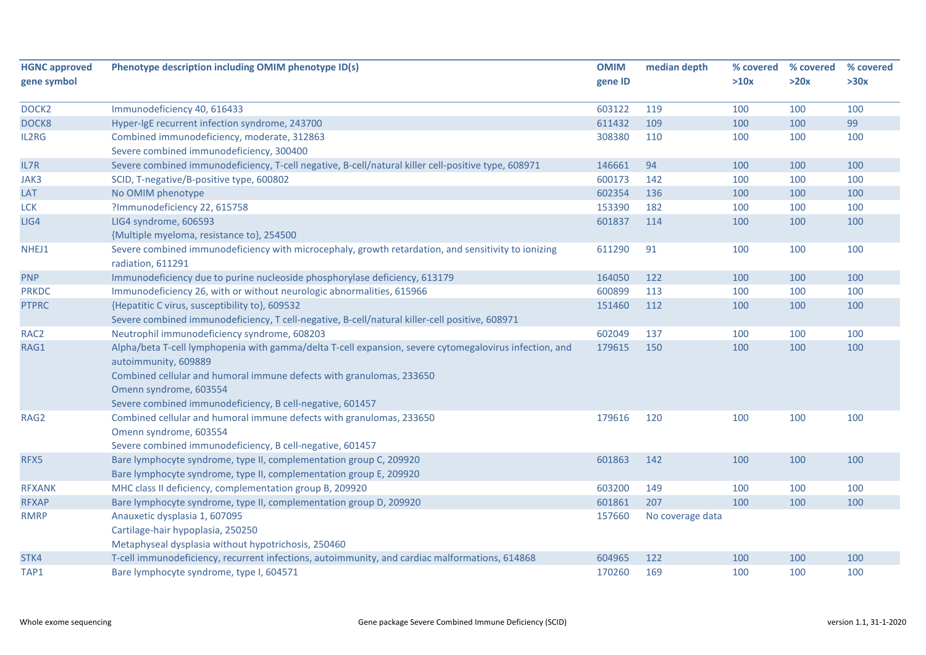| <b>HGNC approved</b><br>gene symbol | Phenotype description including OMIM phenotype ID(s)                                                   | <b>OMIM</b><br>gene ID | median depth     | % covered<br>>10x | % covered<br>>20x | % covered<br>>30x |
|-------------------------------------|--------------------------------------------------------------------------------------------------------|------------------------|------------------|-------------------|-------------------|-------------------|
|                                     |                                                                                                        |                        |                  |                   |                   |                   |
| DOCK <sub>2</sub>                   | Immunodeficiency 40, 616433                                                                            | 603122                 | 119              | 100               | 100               | 100               |
| DOCK8                               | Hyper-IgE recurrent infection syndrome, 243700                                                         | 611432                 | 109              | 100               | 100               | 99                |
| IL2RG                               | Combined immunodeficiency, moderate, 312863                                                            | 308380                 | 110              | 100               | 100               | 100               |
|                                     | Severe combined immunodeficiency, 300400                                                               |                        |                  |                   |                   |                   |
| IL7R                                | Severe combined immunodeficiency, T-cell negative, B-cell/natural killer cell-positive type, 608971    | 146661                 | 94               | 100               | 100               | 100               |
| JAK3                                | SCID, T-negative/B-positive type, 600802                                                               | 600173                 | 142              | 100               | 100               | 100               |
| LAT                                 | No OMIM phenotype                                                                                      | 602354                 | 136              | 100               | 100               | 100               |
| <b>LCK</b>                          | ?Immunodeficiency 22, 615758                                                                           | 153390                 | 182              | 100               | 100               | 100               |
| LIG4                                | LIG4 syndrome, 606593                                                                                  | 601837                 | 114              | 100               | 100               | 100               |
|                                     | {Multiple myeloma, resistance to}, 254500                                                              |                        |                  |                   |                   |                   |
| NHEJ1                               | Severe combined immunodeficiency with microcephaly, growth retardation, and sensitivity to ionizing    | 611290                 | 91               | 100               | 100               | 100               |
|                                     | radiation, 611291                                                                                      |                        |                  |                   |                   |                   |
| <b>PNP</b>                          | Immunodeficiency due to purine nucleoside phosphorylase deficiency, 613179                             | 164050                 | 122              | 100               | 100               | 100               |
| <b>PRKDC</b>                        | Immunodeficiency 26, with or without neurologic abnormalities, 615966                                  | 600899                 | 113              | 100               | 100               | 100               |
| <b>PTPRC</b>                        | {Hepatitic C virus, susceptibility to}, 609532                                                         | 151460                 | 112              | 100               | 100               | 100               |
|                                     | Severe combined immunodeficiency, T cell-negative, B-cell/natural killer-cell positive, 608971         |                        |                  |                   |                   |                   |
| RAC <sub>2</sub>                    | Neutrophil immunodeficiency syndrome, 608203                                                           | 602049                 | 137              | 100               | 100               | 100               |
| RAG1                                | Alpha/beta T-cell lymphopenia with gamma/delta T-cell expansion, severe cytomegalovirus infection, and | 179615                 | 150              | 100               | 100               | 100               |
|                                     | autoimmunity, 609889                                                                                   |                        |                  |                   |                   |                   |
|                                     | Combined cellular and humoral immune defects with granulomas, 233650                                   |                        |                  |                   |                   |                   |
|                                     | Omenn syndrome, 603554                                                                                 |                        |                  |                   |                   |                   |
|                                     | Severe combined immunodeficiency, B cell-negative, 601457                                              |                        |                  |                   |                   |                   |
| RAG2                                | Combined cellular and humoral immune defects with granulomas, 233650                                   | 179616                 | 120              | 100               | 100               | 100               |
|                                     | Omenn syndrome, 603554                                                                                 |                        |                  |                   |                   |                   |
|                                     | Severe combined immunodeficiency, B cell-negative, 601457                                              |                        |                  |                   |                   |                   |
| RFX5                                | Bare lymphocyte syndrome, type II, complementation group C, 209920                                     | 601863                 | 142              | 100               | 100               | 100               |
|                                     | Bare lymphocyte syndrome, type II, complementation group E, 209920                                     |                        |                  |                   |                   |                   |
| <b>RFXANK</b>                       | MHC class II deficiency, complementation group B, 209920                                               | 603200                 | 149              | 100               | 100               | 100               |
| <b>RFXAP</b>                        | Bare lymphocyte syndrome, type II, complementation group D, 209920                                     | 601861                 | 207              | 100               | 100               | 100               |
| <b>RMRP</b>                         | Anauxetic dysplasia 1, 607095                                                                          | 157660                 | No coverage data |                   |                   |                   |
|                                     | Cartilage-hair hypoplasia, 250250                                                                      |                        |                  |                   |                   |                   |
|                                     | Metaphyseal dysplasia without hypotrichosis, 250460                                                    |                        |                  |                   |                   |                   |
| STK4                                | T-cell immunodeficiency, recurrent infections, autoimmunity, and cardiac malformations, 614868         | 604965                 | 122              | 100               | 100               | 100               |
| TAP1                                | Bare lymphocyte syndrome, type I, 604571                                                               | 170260                 | 169              | 100               | 100               | 100               |